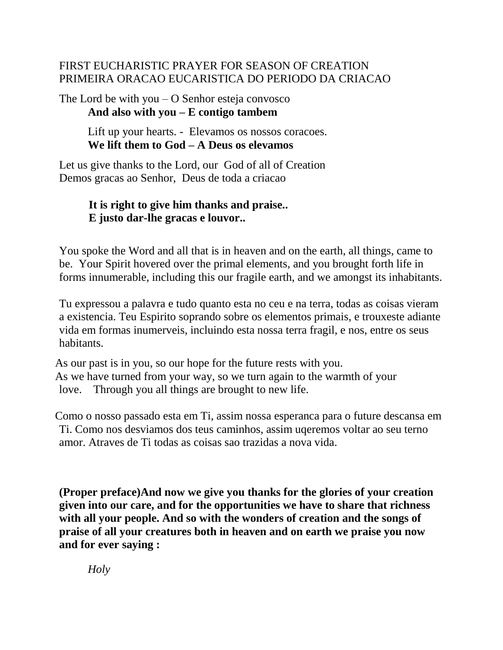#### FIRST EUCHARISTIC PRAYER FOR SEASON OF CREATION PRIMEIRA ORACAO EUCARISTICA DO PERIODO DA CRIACAO

The Lord be with you  $-$  O Senhor esteja convosco **And also with you – E contigo tambem**

> Lift up your hearts. - Elevamos os nossos coracoes. **We lift them to God – A Deus os elevamos**

Let us give thanks to the Lord, our God of all of Creation Demos gracas ao Senhor, Deus de toda a criacao

# **It is right to give him thanks and praise.. E justo dar-lhe gracas e louvor..**

You spoke the Word and all that is in heaven and on the earth, all things, came to be. Your Spirit hovered over the primal elements, and you brought forth life in forms innumerable, including this our fragile earth, and we amongst its inhabitants.

Tu expressou a palavra e tudo quanto esta no ceu e na terra, todas as coisas vieram a existencia. Teu Espirito soprando sobre os elementos primais, e trouxeste adiante vida em formas inumerveis, incluindo esta nossa terra fragil, e nos, entre os seus habitants.

 As our past is in you, so our hope for the future rests with you. As we have turned from your way, so we turn again to the warmth of your love. Through you all things are brought to new life.

 Como o nosso passado esta em Ti, assim nossa esperanca para o future descansa em Ti. Como nos desviamos dos teus caminhos, assim uqeremos voltar ao seu terno amor. Atraves de Ti todas as coisas sao trazidas a nova vida.

**(Proper preface)And now we give you thanks for the glories of your creation given into our care, and for the opportunities we have to share that richness with all your people. And so with the wonders of creation and the songs of praise of all your creatures both in heaven and on earth we praise you now and for ever saying :** 

 *Holy*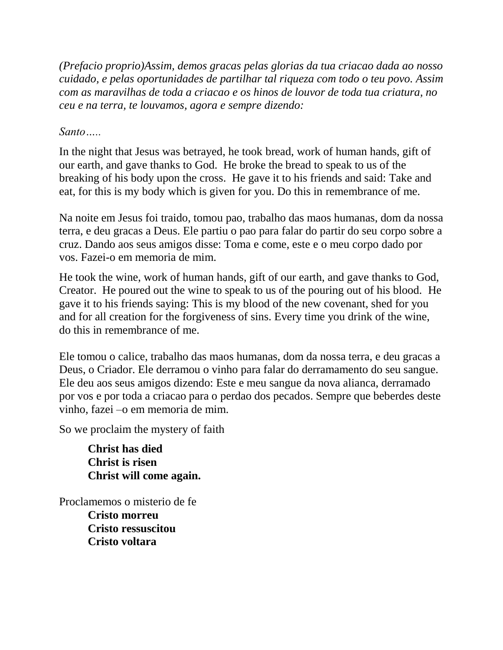*(Prefacio proprio)Assim, demos gracas pelas glorias da tua criacao dada ao nosso cuidado, e pelas oportunidades de partilhar tal riqueza com todo o teu povo. Assim com as maravilhas de toda a criacao e os hinos de louvor de toda tua criatura, no ceu e na terra, te louvamos, agora e sempre dizendo:*

#### *Santo…..*

In the night that Jesus was betrayed, he took bread, work of human hands, gift of our earth, and gave thanks to God. He broke the bread to speak to us of the breaking of his body upon the cross. He gave it to his friends and said: Take and eat, for this is my body which is given for you. Do this in remembrance of me.

Na noite em Jesus foi traido, tomou pao, trabalho das maos humanas, dom da nossa terra, e deu gracas a Deus. Ele partiu o pao para falar do partir do seu corpo sobre a cruz. Dando aos seus amigos disse: Toma e come, este e o meu corpo dado por vos. Fazei-o em memoria de mim.

He took the wine, work of human hands, gift of our earth, and gave thanks to God, Creator. He poured out the wine to speak to us of the pouring out of his blood. He gave it to his friends saying: This is my blood of the new covenant, shed for you and for all creation for the forgiveness of sins. Every time you drink of the wine, do this in remembrance of me.

Ele tomou o calice, trabalho das maos humanas, dom da nossa terra, e deu gracas a Deus, o Criador. Ele derramou o vinho para falar do derramamento do seu sangue. Ele deu aos seus amigos dizendo: Este e meu sangue da nova alianca, derramado por vos e por toda a criacao para o perdao dos pecados. Sempre que beberdes deste vinho, fazei –o em memoria de mim.

So we proclaim the mystery of faith

**Christ has died Christ is risen Christ will come again.**

Proclamemos o misterio de fe  **Cristo morreu Cristo ressuscitou Cristo voltara**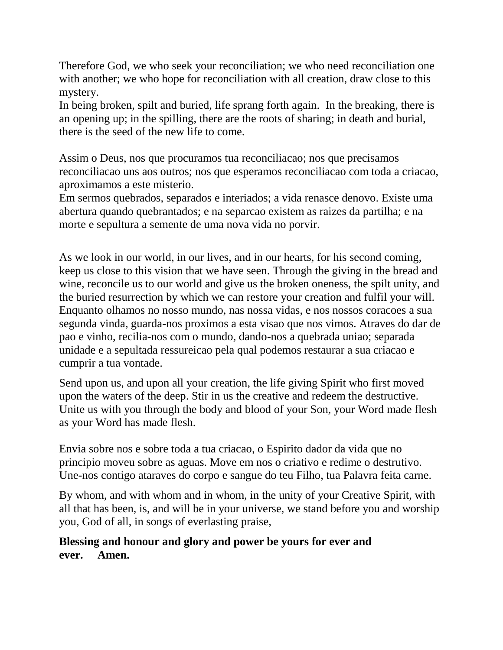Therefore God, we who seek your reconciliation; we who need reconciliation one with another; we who hope for reconciliation with all creation, draw close to this mystery.

In being broken, spilt and buried, life sprang forth again. In the breaking, there is an opening up; in the spilling, there are the roots of sharing; in death and burial, there is the seed of the new life to come.

Assim o Deus, nos que procuramos tua reconciliacao; nos que precisamos reconciliacao uns aos outros; nos que esperamos reconciliacao com toda a criacao, aproximamos a este misterio.

Em sermos quebrados, separados e interiados; a vida renasce denovo. Existe uma abertura quando quebrantados; e na separcao existem as raizes da partilha; e na morte e sepultura a semente de uma nova vida no porvir.

As we look in our world, in our lives, and in our hearts, for his second coming, keep us close to this vision that we have seen. Through the giving in the bread and wine, reconcile us to our world and give us the broken oneness, the spilt unity, and the buried resurrection by which we can restore your creation and fulfil your will. Enquanto olhamos no nosso mundo, nas nossa vidas, e nos nossos coracoes a sua segunda vinda, guarda-nos proximos a esta visao que nos vimos. Atraves do dar de pao e vinho, recilia-nos com o mundo, dando-nos a quebrada uniao; separada unidade e a sepultada ressureicao pela qual podemos restaurar a sua criacao e cumprir a tua vontade.

Send upon us, and upon all your creation, the life giving Spirit who first moved upon the waters of the deep. Stir in us the creative and redeem the destructive. Unite us with you through the body and blood of your Son, your Word made flesh as your Word has made flesh.

Envia sobre nos e sobre toda a tua criacao, o Espirito dador da vida que no principio moveu sobre as aguas. Move em nos o criativo e redime o destrutivo. Une-nos contigo ataraves do corpo e sangue do teu Filho, tua Palavra feita carne.

By whom, and with whom and in whom, in the unity of your Creative Spirit, with all that has been, is, and will be in your universe, we stand before you and worship you, God of all, in songs of everlasting praise,

# **Blessing and honour and glory and power be yours for ever and ever. Amen.**